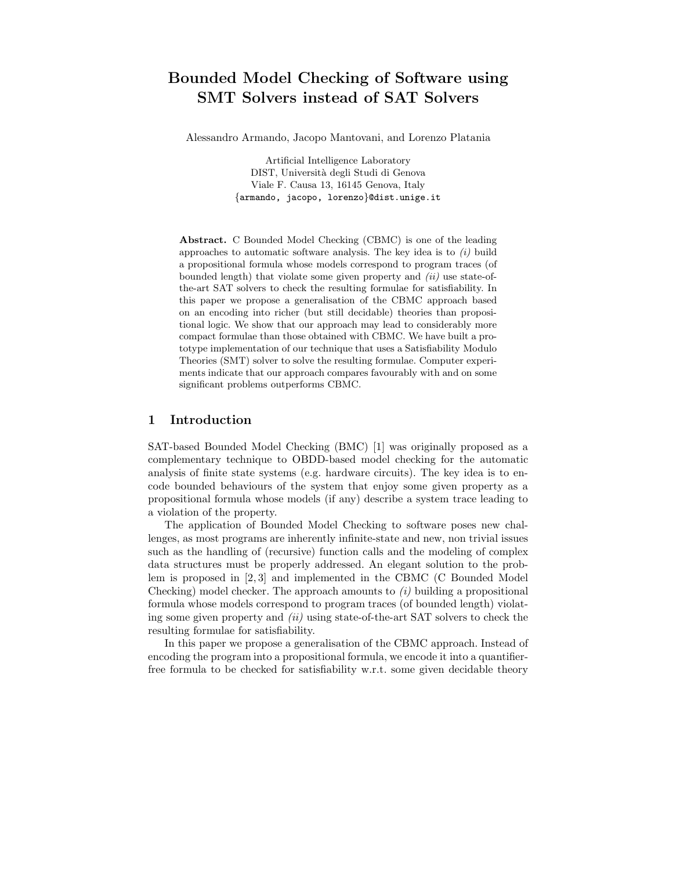# **Bounded Model Checking of Software using SMT Solvers instead of SAT Solvers**

Alessandro Armando, Jacopo Mantovani, and Lorenzo Platania

Artificial Intelligence Laboratory DIST, Universit`a degli Studi di Genova Viale F. Causa 13, 16145 Genova, Italy {armando, jacopo, lorenzo}@dist.unige.it

**Abstract.** C Bounded Model Checking (CBMC) is one of the leading approaches to automatic software analysis. The key idea is to *(i)* build a propositional formula whose models correspond to program traces (of bounded length) that violate some given property and *(ii)* use state-ofthe-art SAT solvers to check the resulting formulae for satisfiability. In this paper we propose a generalisation of the CBMC approach based on an encoding into richer (but still decidable) theories than propositional logic. We show that our approach may lead to considerably more compact formulae than those obtained with CBMC. We have built a prototype implementation of our technique that uses a Satisfiability Modulo Theories (SMT) solver to solve the resulting formulae. Computer experiments indicate that our approach compares favourably with and on some significant problems outperforms CBMC.

### **1 Introduction**

SAT-based Bounded Model Checking (BMC) [1] was originally proposed as a complementary technique to OBDD-based model checking for the automatic analysis of finite state systems (e.g. hardware circuits). The key idea is to encode bounded behaviours of the system that enjoy some given property as a propositional formula whose models (if any) describe a system trace leading to a violation of the property.

The application of Bounded Model Checking to software poses new challenges, as most programs are inherently infinite-state and new, non trivial issues such as the handling of (recursive) function calls and the modeling of complex data structures must be properly addressed. An elegant solution to the problem is proposed in [2, 3] and implemented in the CBMC (C Bounded Model Checking) model checker. The approach amounts to *(i)* building a propositional formula whose models correspond to program traces (of bounded length) violating some given property and *(ii)* using state-of-the-art SAT solvers to check the resulting formulae for satisfiability.

In this paper we propose a generalisation of the CBMC approach. Instead of encoding the program into a propositional formula, we encode it into a quantifierfree formula to be checked for satisfiability w.r.t. some given decidable theory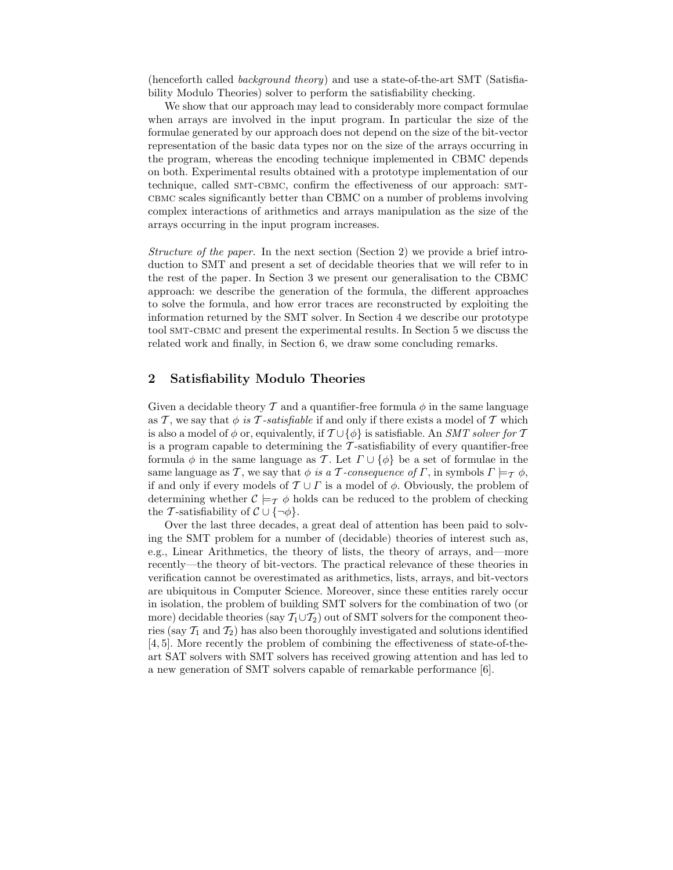(henceforth called *background theory*) and use a state-of-the-art SMT (Satisfiability Modulo Theories) solver to perform the satisfiability checking.

We show that our approach may lead to considerably more compact formulae when arrays are involved in the input program. In particular the size of the formulae generated by our approach does not depend on the size of the bit-vector representation of the basic data types nor on the size of the arrays occurring in the program, whereas the encoding technique implemented in CBMC depends on both. Experimental results obtained with a prototype implementation of our technique, called SMT-CBMC, confirm the effectiveness of our approach: SMTcbmc scales significantly better than CBMC on a number of problems involving complex interactions of arithmetics and arrays manipulation as the size of the arrays occurring in the input program increases.

*Structure of the paper.* In the next section (Section 2) we provide a brief introduction to SMT and present a set of decidable theories that we will refer to in the rest of the paper. In Section 3 we present our generalisation to the CBMC approach: we describe the generation of the formula, the different approaches to solve the formula, and how error traces are reconstructed by exploiting the information returned by the SMT solver. In Section 4 we describe our prototype tool smt-cbmc and present the experimental results. In Section 5 we discuss the related work and finally, in Section 6, we draw some concluding remarks.

# **2 Satisfiability Modulo Theories**

Given a decidable theory T and a quantifier-free formula  $\phi$  in the same language as T, we say that  $\phi$  *is* T-*satisfiable* if and only if there exists a model of T which is also a model of  $\phi$  or, equivalently, if  $\mathcal{T} \cup {\phi}$  is satisfiable. An *SMT solver for*  $\mathcal{T}$ is a program capable to determining the  $\tau$ -satisfiability of every quantifier-free formula  $\phi$  in the same language as T. Let  $\Gamma \cup {\phi}$  be a set of formulae in the same language as T, we say that  $\phi$  *is a* T-consequence of  $\Gamma$ , in symbols  $\Gamma \models_{\mathcal{T}} \phi$ , if and only if every models of  $\mathcal{T} \cup \Gamma$  is a model of  $\phi$ . Obviously, the problem of determining whether  $\mathcal{C} \models_{\mathcal{T}} \phi$  holds can be reduced to the problem of checking the T-satisfiability of  $\mathcal{C} \cup \{\neg \phi\}.$ 

Over the last three decades, a great deal of attention has been paid to solving the SMT problem for a number of (decidable) theories of interest such as, e.g., Linear Arithmetics, the theory of lists, the theory of arrays, and—more recently—the theory of bit-vectors. The practical relevance of these theories in verification cannot be overestimated as arithmetics, lists, arrays, and bit-vectors are ubiquitous in Computer Science. Moreover, since these entities rarely occur in isolation, the problem of building SMT solvers for the combination of two (or more) decidable theories (say  $T_1 \cup T_2$ ) out of SMT solvers for the component theories (say  $\mathcal{T}_1$  and  $\mathcal{T}_2$ ) has also been thoroughly investigated and solutions identified [4, 5]. More recently the problem of combining the effectiveness of state-of-theart SAT solvers with SMT solvers has received growing attention and has led to a new generation of SMT solvers capable of remarkable performance [6].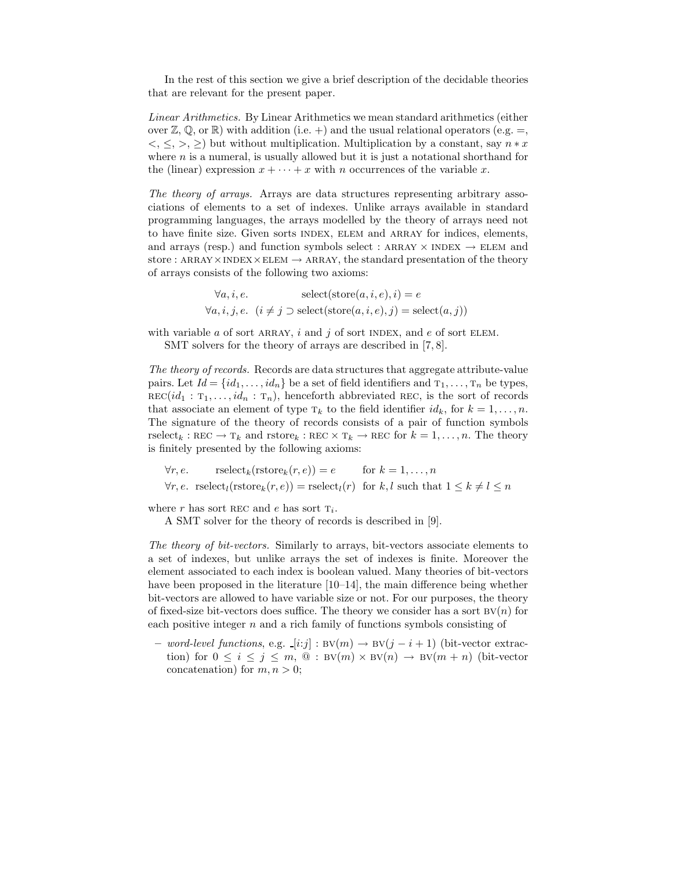In the rest of this section we give a brief description of the decidable theories that are relevant for the present paper.

*Linear Arithmetics.* By Linear Arithmetics we mean standard arithmetics (either over  $\mathbb{Z}, \mathbb{Q},$  or  $\mathbb{R}$ ) with addition (i.e. +) and the usual relational operators (e.g. =,  $\langle \xi, \xi, \xi \rangle$  but without multiplication. Multiplication by a constant, say  $n * x$ where  $n$  is a numeral, is usually allowed but it is just a notational shorthand for the (linear) expression  $x + \cdots + x$  with n occurrences of the variable x.

*The theory of arrays.* Arrays are data structures representing arbitrary associations of elements to a set of indexes. Unlike arrays available in standard programming languages, the arrays modelled by the theory of arrays need not to have finite size. Given sorts index, elem and array for indices, elements, and arrays (resp.) and function symbols select : ARRAY  $\times$  INDEX  $\rightarrow$  ELEM and store : ARRAY  $\times$  INDEX  $\times$  ELEM  $\rightarrow$  ARRAY, the standard presentation of the theory of arrays consists of the following two axioms:

$$
\forall a, i, e.
$$
 select( $store(a, i, e), i$ ) = e  

$$
\forall a, i, j, e.
$$
  $(i \neq j \supset select(store(a, i, e), j)$  = select( $a, j$ ))

with variable  $a$  of sort ARRAY,  $i$  and  $j$  of sort INDEX, and  $e$  of sort ELEM. SMT solvers for the theory of arrays are described in [7,8].

*The theory of records.* Records are data structures that aggregate attribute-value pairs. Let  $Id = \{id_1, \ldots, id_n\}$  be a set of field identifiers and  $T_1, \ldots, T_n$  be types,  $\text{REC}(id_1 : T_1, \ldots, id_n : T_n)$ , henceforth abbreviated REC, is the sort of records that associate an element of type  $T_k$  to the field identifier  $id_k$ , for  $k = 1, \ldots, n$ . The signature of the theory of records consists of a pair of function symbols rselect<sub>k</sub>:  $\text{REC} \rightarrow \text{T}_k$  and  $\text{rstore}_k : \text{REC} \times \text{T}_k \rightarrow \text{REC}$  for  $k = 1, \ldots, n$ . The theory is finitely presented by the following axioms:

$$
\forall r, e. \qquad \text{rselect}_k(\text{rstore}_k(r, e)) = e \qquad \text{for } k = 1, ..., n
$$
  

$$
\forall r, e. \quad \text{rselect}_l(\text{rstore}_k(r, e)) = \text{rselect}_l(r) \quad \text{for } k, l \text{ such that } 1 \le k \ne l \le n
$$

where r has sort REC and e has sort  $T_i$ .

A SMT solver for the theory of records is described in [9].

*The theory of bit-vectors.* Similarly to arrays, bit-vectors associate elements to a set of indexes, but unlike arrays the set of indexes is finite. Moreover the element associated to each index is boolean valued. Many theories of bit-vectors have been proposed in the literature [10–14], the main difference being whether bit-vectors are allowed to have variable size or not. For our purposes, the theory of fixed-size bit-vectors does suffice. The theory we consider has a sort  $BV(n)$  for each positive integer  $n$  and a rich family of functions symbols consisting of

**–** *word-level functions*, e.g. [i:j] : bv(m) <sup>→</sup> bv(<sup>j</sup> <sup>−</sup> <sup>i</sup> + 1) (bit-vector extraction) for  $0 \leq i \leq j \leq m$ ,  $\mathbb{Q}: BV(m) \times BV(n) \rightarrow BV(m+n)$  (bit-vector concatenation) for  $m, n > 0$ ;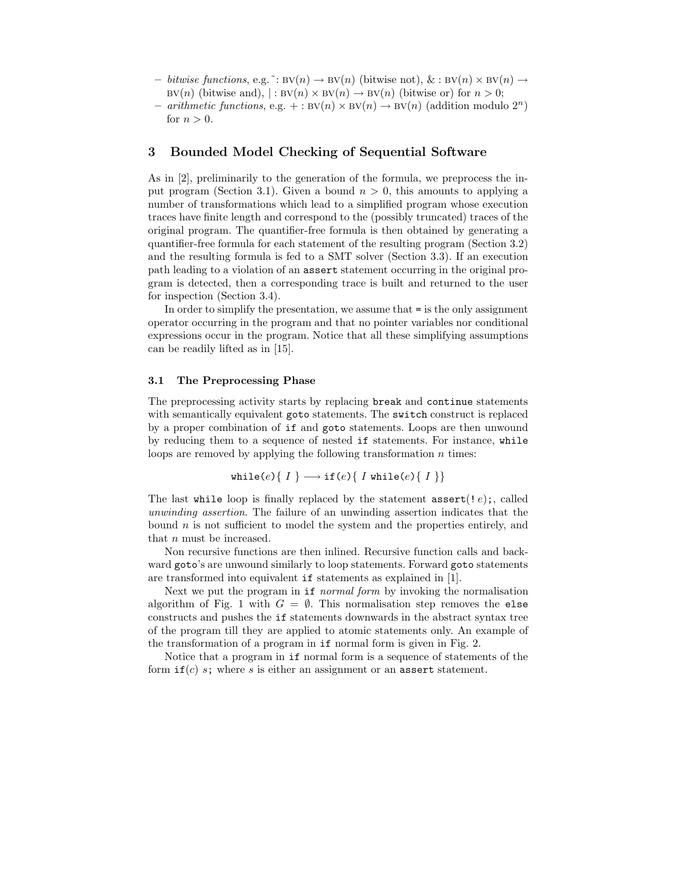- $−$  *bitwise functions*, e.g.  $\tilde{ }$ : BV(n)  $\rightarrow$  BV(n) (bitwise not), & : BV(n)  $\times$  BV(n)  $\rightarrow$  $BV(n)$  (bitwise and),  $|: BV(n) \times BV(n) \rightarrow BV(n)$  (bitwise or) for  $n > 0$ ;
- **–** *arithmetic functions*, e.g. + : bv(n) <sup>×</sup> bv(n) <sup>→</sup> bv(n) (addition modulo 2n) for  $n > 0$ .

### **3 Bounded Model Checking of Sequential Software**

As in [2], preliminarily to the generation of the formula, we preprocess the input program (Section 3.1). Given a bound  $n > 0$ , this amounts to applying a number of transformations which lead to a simplified program whose execution traces have finite length and correspond to the (possibly truncated) traces of the original program. The quantifier-free formula is then obtained by generating a quantifier-free formula for each statement of the resulting program (Section 3.2) and the resulting formula is fed to a SMT solver (Section 3.3). If an execution path leading to a violation of an assert statement occurring in the original program is detected, then a corresponding trace is built and returned to the user for inspection (Section 3.4).

In order to simplify the presentation, we assume that = is the only assignment operator occurring in the program and that no pointer variables nor conditional expressions occur in the program. Notice that all these simplifying assumptions can be readily lifted as in [15].

### **3.1 The Preprocessing Phase**

The preprocessing activity starts by replacing break and continue statements with semantically equivalent goto statements. The switch construct is replaced by a proper combination of if and goto statements. Loops are then unwound by reducing them to a sequence of nested if statements. For instance, while loops are removed by applying the following transformation  $n$  times:

$$
\mathtt{while}(e)\{\ I\} \longrightarrow \mathtt{if}(e)\{\ I\ \mathtt{while}(e)\{\ I\ \}\}
$$

The last while loop is finally replaced by the statement  $\texttt{assert}(!e)$ ;, called *unwinding assertion*. The failure of an unwinding assertion indicates that the bound  $n$  is not sufficient to model the system and the properties entirely, and that n must be increased.

Non recursive functions are then inlined. Recursive function calls and backward goto's are unwound similarly to loop statements. Forward goto statements are transformed into equivalent if statements as explained in [1].

Next we put the program in if *normal form* by invoking the normalisation algorithm of Fig. 1 with  $G = \emptyset$ . This normalisation step removes the else constructs and pushes the if statements downwards in the abstract syntax tree of the program till they are applied to atomic statements only. An example of the transformation of a program in if normal form is given in Fig. 2.

Notice that a program in if normal form is a sequence of statements of the form  $if(c)$  s; where s is either an assignment or an assert statement.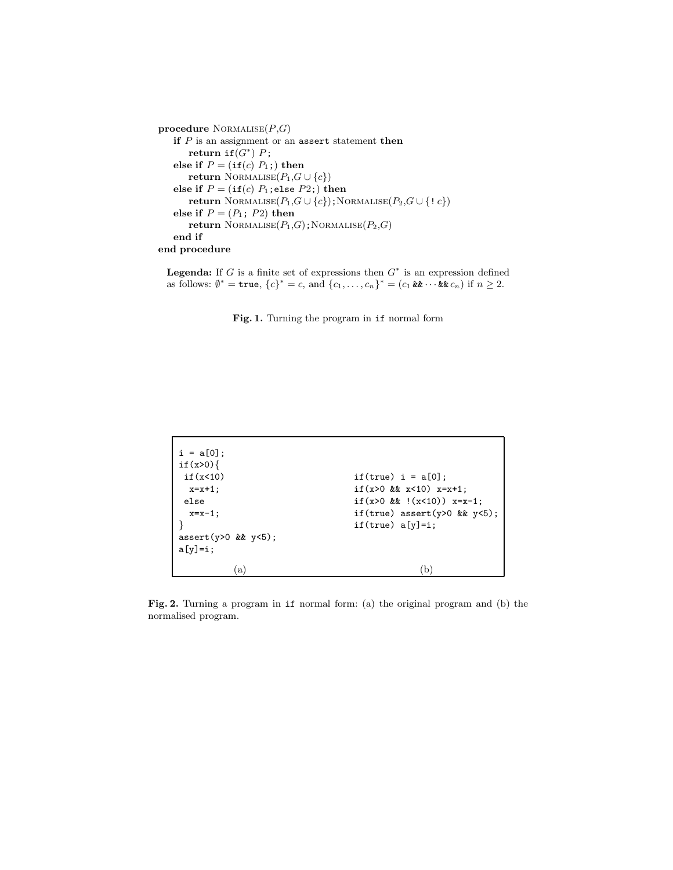```
procedure NORMALISE(P,G)if P is an assignment or an assert statement then
       return if(G^*) P;
   else if P = (\text{if}(c) P_1; ) then
       return NORMALISE(P_1, G \cup \{c\})else if P = (\text{if}(c) \ P_1; \text{else } P_2;) \text{ then}return NORMALISE(P_1,G∪\{c\});NORMALISE(P_2,G∪\{! c\})
   else if P = (P_1; P_2) then
       return \text{NORMALISE}(P_1, G); \text{NORMALISE}(P_2, G)end if
end procedure
```
**Legenda:** If *G* is a finite set of expressions then *G*<sup>∗</sup> is an expression defined as follows:  $\emptyset^*$  = **true**,  ${c}^*$  = *c*, and  ${c_1, ..., c_n}^*$  =  $(c_1 \& x \cdots & c_n)$  if *n* ≥ 2.

**Fig. 1.** Turning the program in if normal form

| else      | $i = a[0];$<br>if(x>0)<br>if(x<10)<br>$x=x+1$ ;<br>$x=x-1$ ;<br>$assert(y>0$ && $y<5$ ; | if(true) $i = a[0]$ ;<br>if $(x>0 \&x x<10)$ $x=x+1$ ;<br>if $(x>0 \&x$ $(x<10)$ $x=x-1$ ;<br>if(true) assert( $y>0$ & $y<5$ );<br>$if(true) a[y]=i;$ |
|-----------|-----------------------------------------------------------------------------------------|-------------------------------------------------------------------------------------------------------------------------------------------------------|
| $a[y]=i;$ |                                                                                         |                                                                                                                                                       |
|           | a                                                                                       |                                                                                                                                                       |

**Fig. 2.** Turning a program in if normal form: (a) the original program and (b) the normalised program.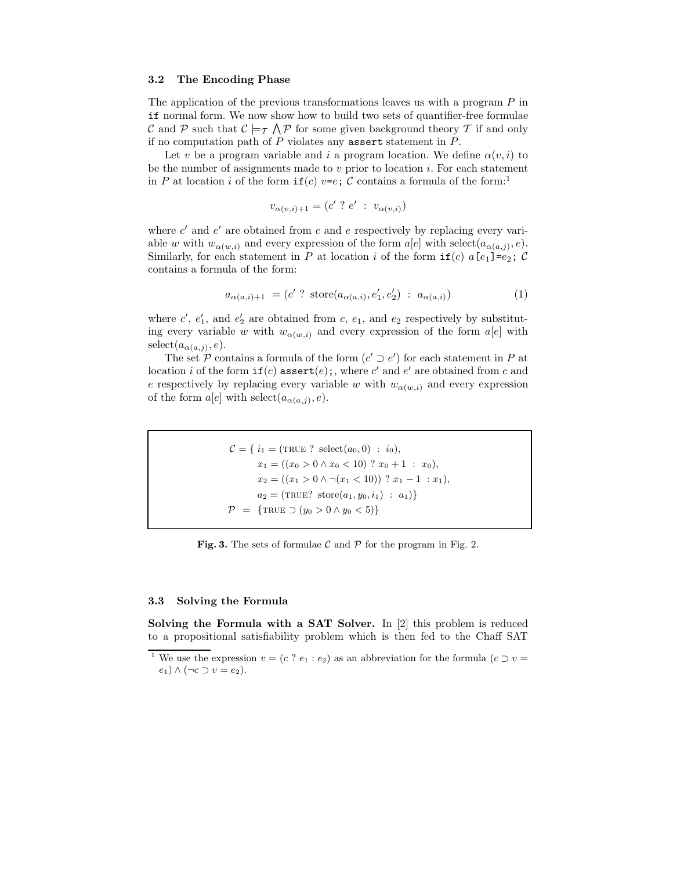#### **3.2 The Encoding Phase**

The application of the previous transformations leaves us with a program  $P$  in if normal form. We now show how to build two sets of quantifier-free formulae C and P such that  $C \models_{\mathcal{T}} \bigwedge_{\mathcal{T}} P$  for some given background theory T if and only if no computation path of  $P$  violates any assert statement in  $P$ .

Let v be a program variable and i a program location. We define  $\alpha(v, i)$  to be the number of assignments made to  $v$  prior to location  $i$ . For each statement in P at location i of the form  $if(c)$   $v=e$ ; C contains a formula of the form:<sup>1</sup>

$$
v_{\alpha(v,i)+1} = (c' \ ? \ e' \ : \ v_{\alpha(v,i)})
$$

where  $c'$  and  $e'$  are obtained from c and e respectively by replacing every variable w with  $w_{\alpha(w,i)}$  and every expression of the form  $a[e]$  with select $(a_{\alpha(a,i)}, e)$ . Similarly, for each statement in P at location i of the form  $if(c)$  a[e<sub>1</sub>]=e<sub>2</sub>; C contains a formula of the form:

$$
a_{\alpha(a,i)+1} = (c' \text{ ? store}(a_{\alpha(a,i)}, e'_1, e'_2) \text{ : } a_{\alpha(a,i)})
$$
\n(1)

where  $c'$ ,  $e'_1$ , and  $e'_2$  are obtained from c,  $e_1$ , and  $e_2$  respectively by substituting every variable w with  $w_{\alpha(w,i)}$  and every expression of the form  $a[e]$  with  $select(a_{\alpha(a,j)}, e).$ 

The set  $P$  contains a formula of the form  $(c' \supset e')$  for each statement in  $P$  at location i of the form  $if(c)$  assert $(e)$ ;, where c' and e' are obtained from c and e respectively by replacing every variable w with  $w_{\alpha(w,i)}$  and every expression of the form  $a[e]$  with select $(a_{\alpha(a,j)}, e)$ .

> $C = \{ i_1 = (\text{TRUE ? select}(a_0, 0) : i_0),$  $x_1 = ((x_0 > 0 \land x_0 < 10)$  ?  $x_0 + 1: x_0)$ ,  $x_2 = ((x_1 > 0 \land \neg(x_1 < 10))$  ?  $x_1 - 1 : x_1)$ ,  $a_2 = (\text{TRUE? store}(a_1, y_0, i_1) : a_1)$  $\mathcal{P} = {\text{TRUE}} \supset (y_0 > 0 \land y_0 < 5)$

**Fig. 3.** The sets of formulae  $\mathcal{C}$  and  $\mathcal{P}$  for the program in Fig. 2.

### **3.3 Solving the Formula**

**Solving the Formula with a SAT Solver.** In [2] this problem is reduced to a propositional satisfiability problem which is then fed to the Chaff SAT

<sup>&</sup>lt;sup>1</sup> We use the expression  $v = (c \t? e_1 : e_2)$  as an abbreviation for the formula  $(c \tIveq v)$  $e_1)$  ∧ (¬*c* ⊃ *v* =  $e_2$ ).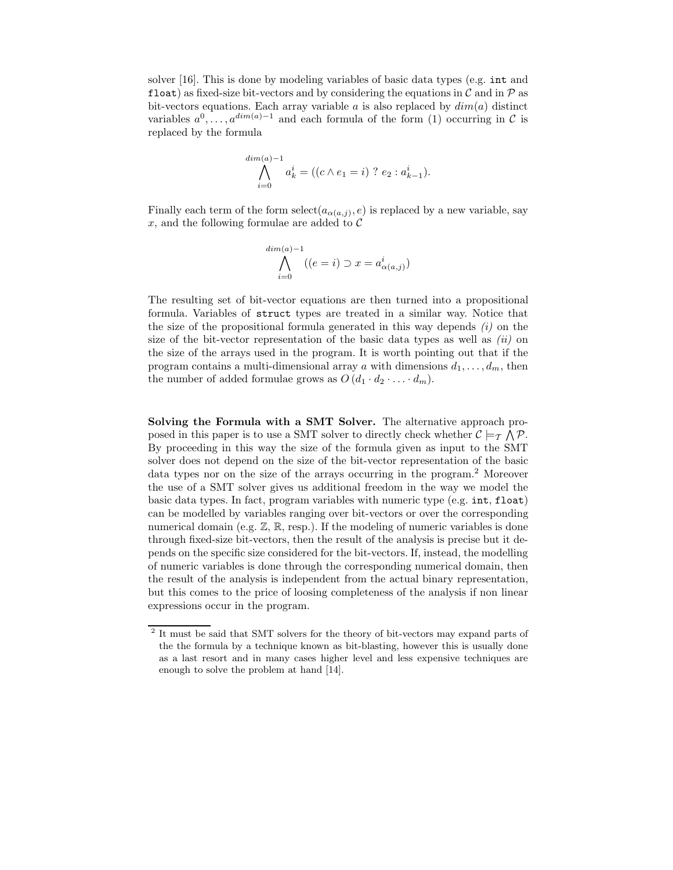solver [16]. This is done by modeling variables of basic data types (e.g. int and float) as fixed-size bit-vectors and by considering the equations in  $\mathcal C$  and in  $\mathcal P$  as bit-vectors equations. Each array variable a is also replaced by  $dim(a)$  distinct variables  $a^0, \ldots, a^{dim(a)-1}$  and each formula of the form (1) occurring in C is replaced by the formula

$$
\bigwedge_{i=0}^{\dim(a)-1} a_k^i = ((c \wedge e_1 = i) ? e_2 : a_{k-1}^i).
$$

Finally each term of the form select $(a_{\alpha(a,j)}, e)$  is replaced by a new variable, say  $x$ , and the following formulae are added to  $\mathcal C$ 

$$
\bigwedge_{i=0}^{\dim(a)-1} ((e=i)\supset x=a^i_{\alpha(a,j)})
$$

The resulting set of bit-vector equations are then turned into a propositional formula. Variables of struct types are treated in a similar way. Notice that the size of the propositional formula generated in this way depends *(i)* on the size of the bit-vector representation of the basic data types as well as *(ii)* on the size of the arrays used in the program. It is worth pointing out that if the program contains a multi-dimensional array a with dimensions  $d_1, \ldots, d_m$ , then the number of added formulae grows as  $O(d_1 \cdot d_2 \cdot \ldots \cdot d_m)$ .

**Solving the Formula with a SMT Solver.** The alternative approach proposed in this paper is to use a SMT solver to directly check whether  $C \models_{\mathcal{T}} \bigwedge \mathcal{P}$ . By proceeding in this way the size of the formula given as input to the SMT solver does not depend on the size of the bit-vector representation of the basic data types nor on the size of the arrays occurring in the program.<sup>2</sup> Moreover the use of a SMT solver gives us additional freedom in the way we model the basic data types. In fact, program variables with numeric type (e.g. int, float) can be modelled by variables ranging over bit-vectors or over the corresponding numerical domain (e.g.  $\mathbb{Z}, \mathbb{R},$  resp.). If the modeling of numeric variables is done through fixed-size bit-vectors, then the result of the analysis is precise but it depends on the specific size considered for the bit-vectors. If, instead, the modelling of numeric variables is done through the corresponding numerical domain, then the result of the analysis is independent from the actual binary representation, but this comes to the price of loosing completeness of the analysis if non linear expressions occur in the program.

 $^{\rm 2}$  It must be said that SMT solvers for the theory of bit-vectors may expand parts of the the formula by a technique known as bit-blasting, however this is usually done as a last resort and in many cases higher level and less expensive techniques are enough to solve the problem at hand [14].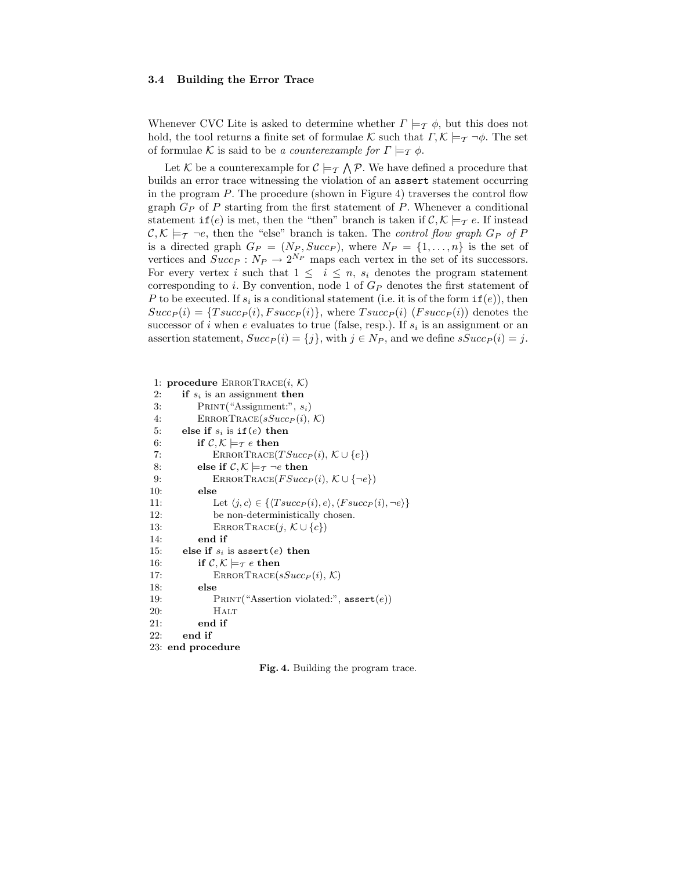#### **3.4 Building the Error Trace**

Whenever CVC Lite is asked to determine whether  $\Gamma \models_{\mathcal{T}} \phi$ , but this does not hold, the tool returns a finite set of formulae K such that  $\Gamma, \mathcal{K} \models_{\mathcal{T}} \neg \phi$ . The set of formulae K is said to be *a counterexample for*  $\Gamma \models_{\mathcal{T}} \phi$ .

Let K be a counterexample for  $C \models_{\mathcal{T}} \bigwedge \mathcal{P}$ . We have defined a procedure that builds an error trace witnessing the violation of an assert statement occurring in the program  $P$ . The procedure (shown in Figure 4) traverses the control flow graph  $G_P$  of P starting from the first statement of P. Whenever a conditional statement  $\text{if}(e)$  is met, then the "then" branch is taken if  $\mathcal{C}, \mathcal{K} \models_{\mathcal{T}} e$ . If instead  $\mathcal{C}, \mathcal{K} \models_{\mathcal{T}} \neg e$ , then the "else" branch is taken. The *control flow graph*  $G_P$  of P is a directed graph  $G_P = (N_P, Succ_P)$ , where  $N_P = \{1, ..., n\}$  is the set of vertices and  $Succ_P : N_P \to 2^{N_P}$  maps each vertex in the set of its successors. For every vertex i such that  $1 \leq i \leq n$ ,  $s_i$  denotes the program statement corresponding to i. By convention, node 1 of  $G_P$  denotes the first statement of P to be executed. If  $s_i$  is a conditional statement (i.e. it is of the form  $if(e)$ ), then  $Succ_P(i) = \{Tsucc_P(i), Fsucc_P(i)\}\$ , where  $Tsucc_P(i)$  ( $Fsucc_P(i)$ ) denotes the successor of i when e evaluates to true (false, resp.). If  $s_i$  is an assignment or an assertion statement,  $Succ_P (i) = \{j\}$ , with  $j \in N_P$ , and we define  $sSucc_P (i) = j$ .

```
1: procedure ERRORTRACE(i, \mathcal{K})<br>2: if s_i is an assignment then
          if s_i is an assignment then
 3: Print("Assignment:", si)
 4: ERRORTRACE(sSucc_P(i), K)<br>5: else if s_i is if (e) then
          else if s_i is if(e) then
 6: if C, K \models_T e then<br>7: ERRORTRACE(
 7: ERRORTRACE(T Succ<sub><i>P</sub></sub> (i), K \cup \{e\})<br>8: else if C, K \models_T \neg e then
 8: else if C, K \models_T \neg e then<br>9: ERRORTRACE(FSucc)
9: ERRORTRACE(FSuccP(i), \mathcal{K} \cup \{\neg e\})<br>10: else
               10: else
11: Let \langle j, c \rangle \in \{\langle TsuccP(i), e \rangle, \langle Fs\rangle, \langle FsP(i), \neg e \rangle\}<br>12: be non-deterministically chosen.
                   be non-deterministically chosen.
13: ERRORTRACE(j, \mathcal{K} \cup \{c\})<br>14: end if
               end if
15: else if si is assert(e) then
16: if C, K \models_T e then<br>17: ERRORTRACE(
17: ERRORTRACE(sSucc_P(i), K)<br>18: else
               18: else
19: Print("Assertion violated:", assert(e))
20: HALT
21: end if
22: end if
23: end procedure
```
**Fig. 4.** Building the program trace.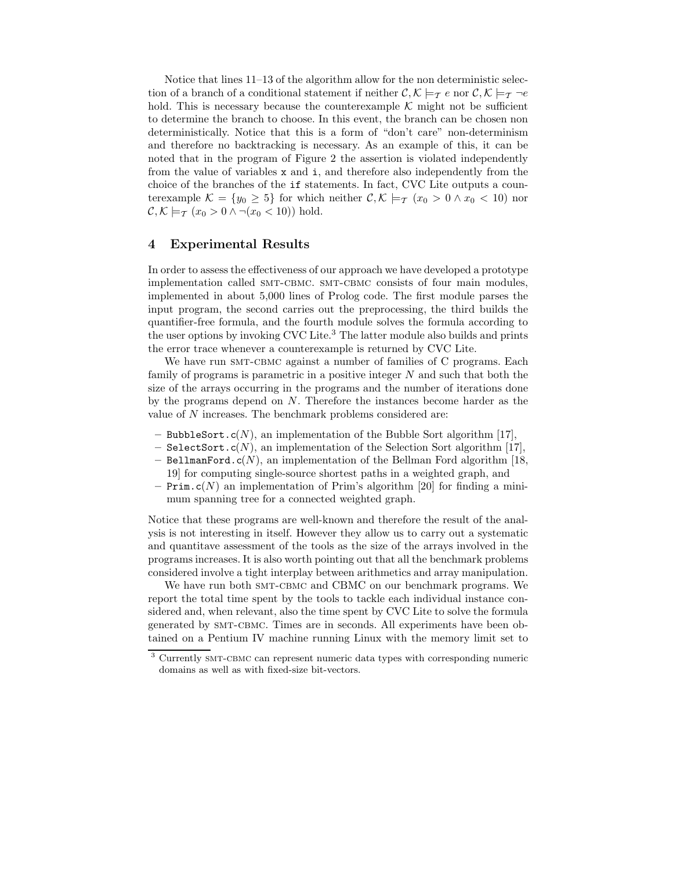Notice that lines 11–13 of the algorithm allow for the non deterministic selection of a branch of a conditional statement if neither  $\mathcal{C}, \mathcal{K} \models_{\mathcal{T}} \mathcal{T}$  e nor  $\mathcal{C}, \mathcal{K} \models_{\mathcal{T}} \mathcal{T}$ hold. This is necessary because the counterexample  $K$  might not be sufficient to determine the branch to choose. In this event, the branch can be chosen non deterministically. Notice that this is a form of "don't care" non-determinism and therefore no backtracking is necessary. As an example of this, it can be noted that in the program of Figure 2 the assertion is violated independently from the value of variables x and i, and therefore also independently from the choice of the branches of the if statements. In fact, CVC Lite outputs a counterexample  $\mathcal{K} = \{y_0 \geq 5\}$  for which neither  $\mathcal{C}, \mathcal{K} \models_{\mathcal{T}} (x_0 > 0 \land x_0 < 10)$  nor  $\mathcal{C}, \mathcal{K} \models_{\mathcal{T}} (x_0 > 0 \land \neg(x_0 < 10))$  hold.

# **4 Experimental Results**

In order to assess the effectiveness of our approach we have developed a prototype implementation called SMT-CBMC. SMT-CBMC consists of four main modules, implemented in about 5,000 lines of Prolog code. The first module parses the input program, the second carries out the preprocessing, the third builds the quantifier-free formula, and the fourth module solves the formula according to the user options by invoking CVC Lite.<sup>3</sup> The latter module also builds and prints the error trace whenever a counterexample is returned by CVC Lite.

We have run SMT-CBMC against a number of families of C programs. Each family of programs is parametric in a positive integer  $N$  and such that both the size of the arrays occurring in the programs and the number of iterations done by the programs depend on  $N$ . Therefore the instances become harder as the value of N increases. The benchmark problems considered are:

- **–** BubbleSort.c(N), an implementation of the Bubble Sort algorithm [17],
- **–** SelectSort.c(N), an implementation of the Selection Sort algorithm [17],
- **–** BellmanFord.c(N), an implementation of the Bellman Ford algorithm [18, 19] for computing single-source shortest paths in a weighted graph, and
- **Prim.**  $c(N)$  an implementation of Prim's algorithm [20] for finding a minimum spanning tree for a connected weighted graph.

Notice that these programs are well-known and therefore the result of the analysis is not interesting in itself. However they allow us to carry out a systematic and quantitave assessment of the tools as the size of the arrays involved in the programs increases. It is also worth pointing out that all the benchmark problems considered involve a tight interplay between arithmetics and array manipulation.

We have run both SMT-CBMC and CBMC on our benchmark programs. We report the total time spent by the tools to tackle each individual instance considered and, when relevant, also the time spent by CVC Lite to solve the formula generated by SMT-CBMC. Times are in seconds. All experiments have been obtained on a Pentium IV machine running Linux with the memory limit set to

<sup>&</sup>lt;sup>3</sup> Currently SMT-CBMC can represent numeric data types with corresponding numeric domains as well as with fixed-size bit-vectors.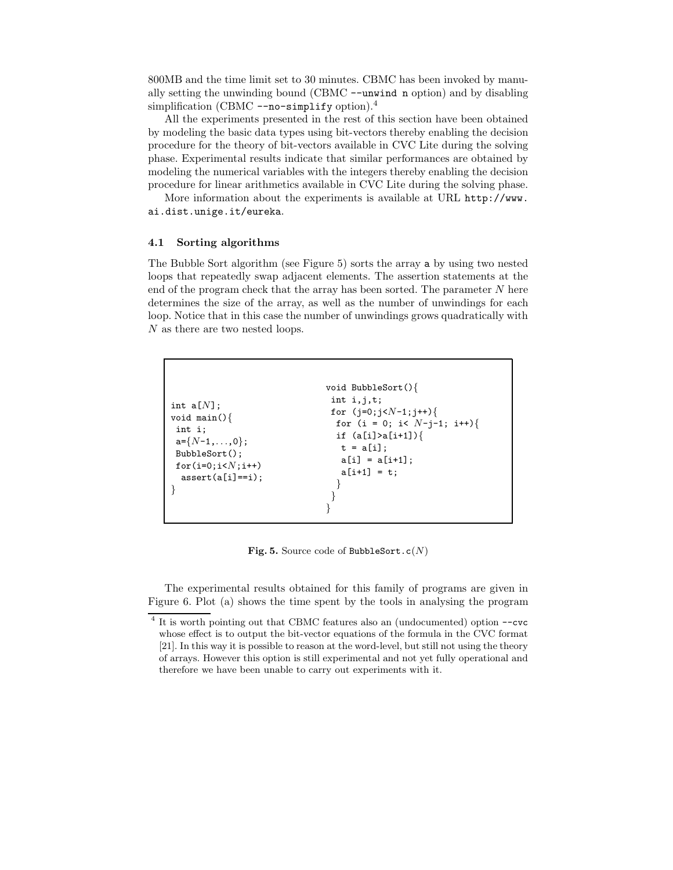800MB and the time limit set to 30 minutes. CBMC has been invoked by manually setting the unwinding bound (CBMC --unwind n option) and by disabling simplification (CBMC  $\text{-no-simplify option}$ ).<sup>4</sup>

All the experiments presented in the rest of this section have been obtained by modeling the basic data types using bit-vectors thereby enabling the decision procedure for the theory of bit-vectors available in CVC Lite during the solving phase. Experimental results indicate that similar performances are obtained by modeling the numerical variables with the integers thereby enabling the decision procedure for linear arithmetics available in CVC Lite during the solving phase.

More information about the experiments is available at URL http://www. ai.dist.unige.it/eureka.

### **4.1 Sorting algorithms**

The Bubble Sort algorithm (see Figure 5) sorts the array a by using two nested loops that repeatedly swap adjacent elements. The assertion statements at the end of the program check that the array has been sorted. The parameter N here determines the size of the array, as well as the number of unwindings for each loop. Notice that in this case the number of unwindings grows quadratically with N as there are two nested loops.

```
int a[N];
void main(){
int i;
a={N-1,...,0};
BubbleSort();
for(i=0;i<N;i++)
 assert(a[i]==i);
}
                              void BubbleSort(){
                               int i,j,t;
                               for (j=0;j<N-1;j++){
                                for (i = 0; i< N-j-1; i++){
                                if (a[i]>a[i+1]){
                                 t = a[i];a[i] = a[i+1];a[i+1] = t;}
                               }
                               }
```
**Fig. 5.** Source code of BubbleSort.c(*N*)

The experimental results obtained for this family of programs are given in Figure 6. Plot (a) shows the time spent by the tools in analysing the program

<sup>4</sup> It is worth pointing out that CBMC features also an (undocumented) option --cvc whose effect is to output the bit-vector equations of the formula in the CVC format [21]. In this way it is possible to reason at the word-level, but still not using the theory of arrays. However this option is still experimental and not yet fully operational and therefore we have been unable to carry out experiments with it.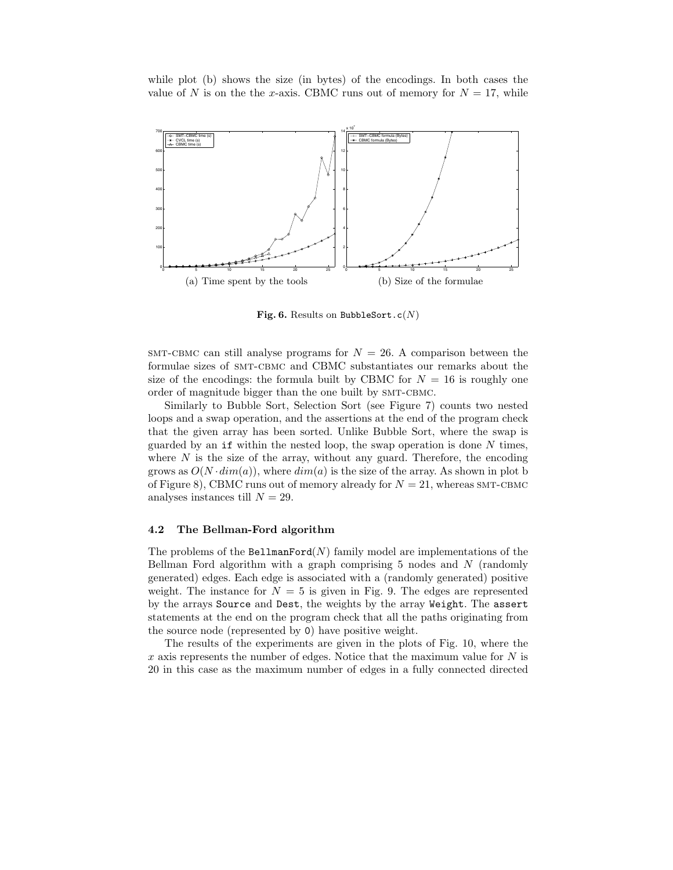while plot (b) shows the size (in bytes) of the encodings. In both cases the value of N is on the the x-axis. CBMC runs out of memory for  $N = 17$ , while



**Fig. 6.** Results on BubbleSort.c(*N*)

 $SMT-CBMC$  can still analyse programs for  $N = 26$ . A comparison between the formulae sizes of smt-cbmc and CBMC substantiates our remarks about the size of the encodings: the formula built by CBMC for  $N = 16$  is roughly one order of magnitude bigger than the one built by SMT-CBMC.

Similarly to Bubble Sort, Selection Sort (see Figure 7) counts two nested loops and a swap operation, and the assertions at the end of the program check that the given array has been sorted. Unlike Bubble Sort, where the swap is guarded by an if within the nested loop, the swap operation is done  $N$  times, where  $N$  is the size of the array, without any guard. Therefore, the encoding grows as  $O(N \cdot dim(a))$ , where  $dim(a)$  is the size of the array. As shown in plot b of Figure 8), CBMC runs out of memory already for  $N = 21$ , whereas SMT-CBMC analyses instances till  $N = 29$ .

### **4.2 The Bellman-Ford algorithm**

The problems of the BellmanFord $(N)$  family model are implementations of the Bellman Ford algorithm with a graph comprising 5 nodes and N (randomly generated) edges. Each edge is associated with a (randomly generated) positive weight. The instance for  $N = 5$  is given in Fig. 9. The edges are represented by the arrays Source and Dest, the weights by the array Weight. The assert statements at the end on the program check that all the paths originating from the source node (represented by 0) have positive weight.

The results of the experiments are given in the plots of Fig. 10, where the  $x$  axis represents the number of edges. Notice that the maximum value for  $N$  is 20 in this case as the maximum number of edges in a fully connected directed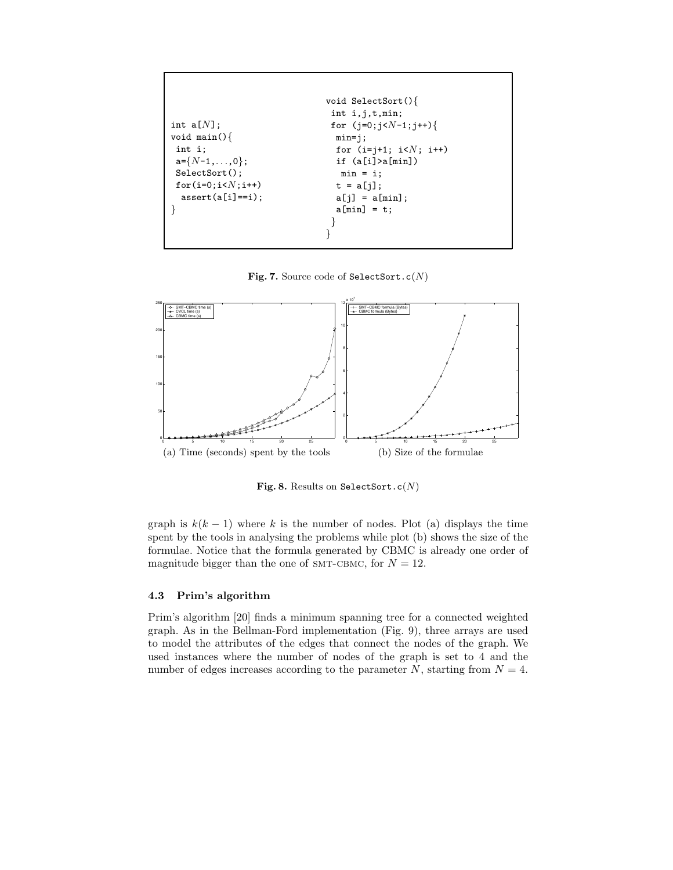```
int a[N];
void main(){
int i;
a={N-1,...,0};
SelectSort();
for(i=0;i<N;i++)
 assert(a[i]=i);}
                              void SelectSort(){
                               int i,j,t,min;
                               for (j=0;j<N-1;j++){
                                min=j;
                                for (i=j+1; i<N; i++)
                                if (a[i]>a[min])
                                 min = i;t = a[j];a[j] = a[\min];a[\min] = t;}
                              }
```
**Fig. 7.** Source code of SelectSort.c(*N*)



**Fig. 8.** Results on SelectSort.c(*N*)

graph is  $k(k-1)$  where k is the number of nodes. Plot (a) displays the time spent by the tools in analysing the problems while plot (b) shows the size of the formulae. Notice that the formula generated by CBMC is already one order of magnitude bigger than the one of SMT-CBMC, for  $N = 12$ .

### **4.3 Prim's algorithm**

Prim's algorithm [20] finds a minimum spanning tree for a connected weighted graph. As in the Bellman-Ford implementation (Fig. 9), three arrays are used to model the attributes of the edges that connect the nodes of the graph. We used instances where the number of nodes of the graph is set to 4 and the number of edges increases according to the parameter N, starting from  $N = 4$ .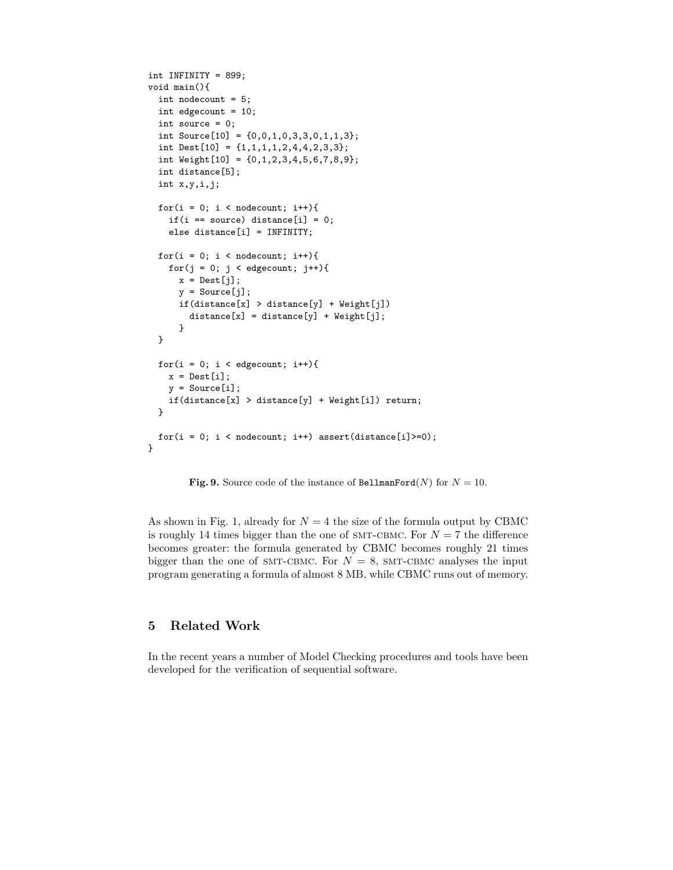```
int INFINITY = 899;
void main(){
 int nodecount = 5;
 int edgecount = 10;
 int source = 0;
 int Source[10] = \{0,0,1,0,3,3,0,1,1,3\};
 int Dest[10] = \{1,1,1,1,2,4,4,2,3,3\};
 int Weight[10] = {0,1,2,3,4,5,6,7,8,9};
 int distance[5];
 int x,y,i,j;
 for(i = 0; i < nodecount; i++){
    if(i == source) distance[i] = 0;
    else distance[i] = INFINITY;
 for(i = 0; i < nodecount; i^{++}){
    for(j = 0; j < edgecount; j++){
      x = \text{Dest}[j];y = Source[j];if(distance[x] > distance[y] + Weight[j])
        distance[x] =distance[y] + Weight[i];
      }
 }
 for(i = 0; i < edgecount; i++){
    x = \text{Dest}[i];y = Source[i];if(distance[x] > distance[y] + Weight[i]) return;
 }
 for(i = 0; i < nodecount; i++) assert(distance[i]>=0);
}
```
**Fig. 9.** Source code of the instance of BellmanFord(*N*) for  $N = 10$ .

As shown in Fig. 1, already for  $N = 4$  the size of the formula output by CBMC is roughly 14 times bigger than the one of SMT-CBMC. For  $N = 7$  the difference becomes greater: the formula generated by CBMC becomes roughly 21 times bigger than the one of SMT-CBMC. For  $N = 8$ , SMT-CBMC analyses the input program generating a formula of almost 8 MB, while CBMC runs out of memory.

# **5 Related Work**

In the recent years a number of Model Checking procedures and tools have been developed for the verification of sequential software.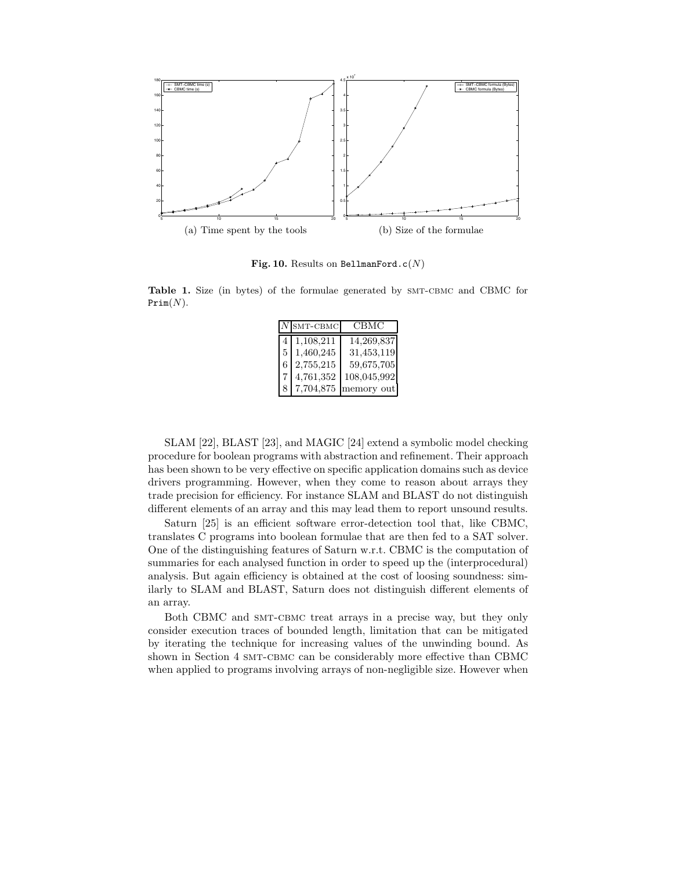

**Fig. 10.** Results on BellmanFord.c(*N*)

Table 1. Size (in bytes) of the formulae generated by SMT-CBMC and CBMC for Prim(*N*).

|    | $ N $ SMT-CBMC | СВМС        |
|----|----------------|-------------|
| 4  | 1,108,211      | 14,269,837  |
| 5. | 1,460,245      | 31,453,119  |
| 6  | 2,755,215      | 59,675,705  |
|    | 4,761,352      | 108,045,992 |
|    | 7,704,875      | memory out  |

SLAM [22], BLAST [23], and MAGIC [24] extend a symbolic model checking procedure for boolean programs with abstraction and refinement. Their approach has been shown to be very effective on specific application domains such as device drivers programming. However, when they come to reason about arrays they trade precision for efficiency. For instance SLAM and BLAST do not distinguish different elements of an array and this may lead them to report unsound results.

Saturn [25] is an efficient software error-detection tool that, like CBMC, translates C programs into boolean formulae that are then fed to a SAT solver. One of the distinguishing features of Saturn w.r.t. CBMC is the computation of summaries for each analysed function in order to speed up the (interprocedural) analysis. But again efficiency is obtained at the cost of loosing soundness: similarly to SLAM and BLAST, Saturn does not distinguish different elements of an array.

Both CBMC and SMT-CBMC treat arrays in a precise way, but they only consider execution traces of bounded length, limitation that can be mitigated by iterating the technique for increasing values of the unwinding bound. As shown in Section 4 SMT-CBMC can be considerably more effective than CBMC when applied to programs involving arrays of non-negligible size. However when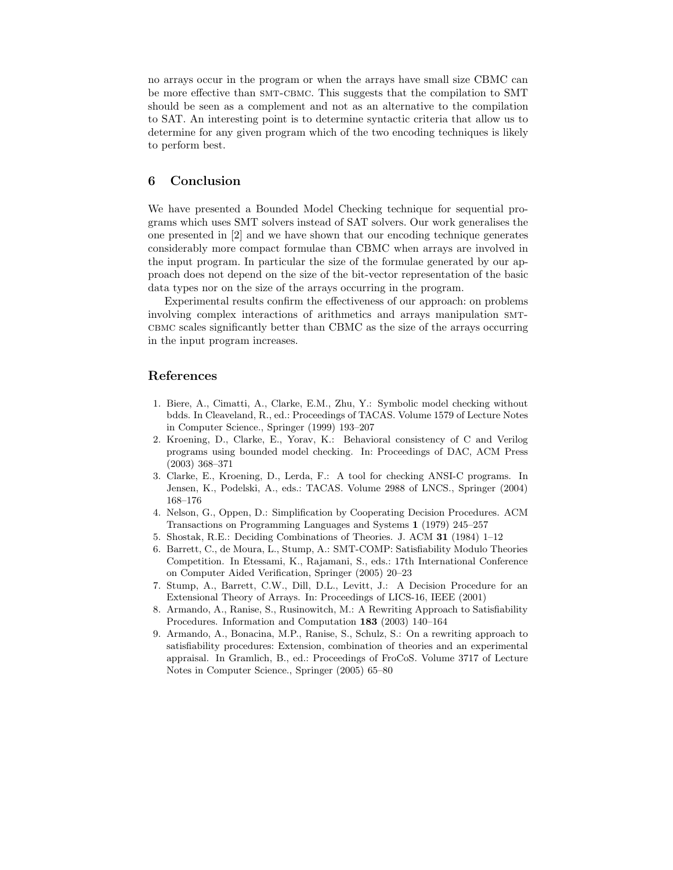no arrays occur in the program or when the arrays have small size CBMC can be more effective than SMT-CBMC. This suggests that the compilation to SMT should be seen as a complement and not as an alternative to the compilation to SAT. An interesting point is to determine syntactic criteria that allow us to determine for any given program which of the two encoding techniques is likely to perform best.

# **6 Conclusion**

We have presented a Bounded Model Checking technique for sequential programs which uses SMT solvers instead of SAT solvers. Our work generalises the one presented in [2] and we have shown that our encoding technique generates considerably more compact formulae than CBMC when arrays are involved in the input program. In particular the size of the formulae generated by our approach does not depend on the size of the bit-vector representation of the basic data types nor on the size of the arrays occurring in the program.

Experimental results confirm the effectiveness of our approach: on problems involving complex interactions of arithmetics and arrays manipulation smtcbmc scales significantly better than CBMC as the size of the arrays occurring in the input program increases.

### **References**

- 1. Biere, A., Cimatti, A., Clarke, E.M., Zhu, Y.: Symbolic model checking without bdds. In Cleaveland, R., ed.: Proceedings of TACAS. Volume 1579 of Lecture Notes in Computer Science., Springer (1999) 193–207
- 2. Kroening, D., Clarke, E., Yorav, K.: Behavioral consistency of C and Verilog programs using bounded model checking. In: Proceedings of DAC, ACM Press (2003) 368–371
- 3. Clarke, E., Kroening, D., Lerda, F.: A tool for checking ANSI-C programs. In Jensen, K., Podelski, A., eds.: TACAS. Volume 2988 of LNCS., Springer (2004) 168–176
- 4. Nelson, G., Oppen, D.: Simplification by Cooperating Decision Procedures. ACM Transactions on Programming Languages and Systems **1** (1979) 245–257
- 5. Shostak, R.E.: Deciding Combinations of Theories. J. ACM **31** (1984) 1–12
- 6. Barrett, C., de Moura, L., Stump, A.: SMT-COMP: Satisfiability Modulo Theories Competition. In Etessami, K., Rajamani, S., eds.: 17th International Conference on Computer Aided Verification, Springer (2005) 20–23
- 7. Stump, A., Barrett, C.W., Dill, D.L., Levitt, J.: A Decision Procedure for an Extensional Theory of Arrays. In: Proceedings of LICS-16, IEEE (2001)
- 8. Armando, A., Ranise, S., Rusinowitch, M.: A Rewriting Approach to Satisfiability Procedures. Information and Computation **183** (2003) 140–164
- 9. Armando, A., Bonacina, M.P., Ranise, S., Schulz, S.: On a rewriting approach to satisfiability procedures: Extension, combination of theories and an experimental appraisal. In Gramlich, B., ed.: Proceedings of FroCoS. Volume 3717 of Lecture Notes in Computer Science., Springer (2005) 65–80